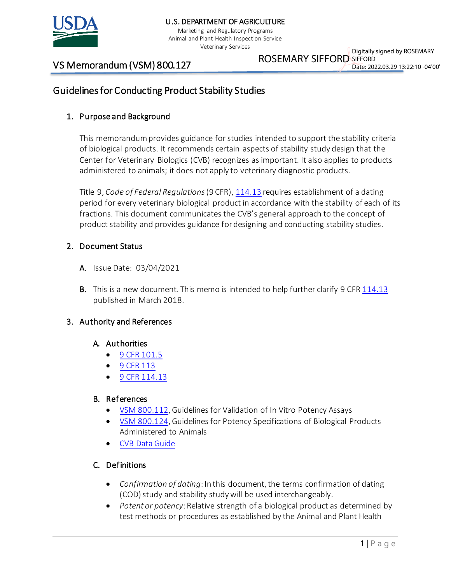

Marketing and Regulatory Programs Animal and Plant Health Inspection Service Veterinary Services

# VS Memorandum (VSM) 800.127

ROSEMARY SIFFORD SIFFORD Digitally signed by ROSEMARY

# Date: 2022.03.29 13:22:10 -04'00'

# Guidelines for Conducting Product Stability Studies

## 1. Purpose and Background

This memorandum provides guidance for studies intended to support the stability criteria of biological products. It recommends certain aspects of stability study design that the Center for Veterinary Biologics (CVB) recognizes as important. It also applies to products administered to animals; it does not apply to veterinary diagnostic products.

Title 9, *Code of Federal Regulations*(9 CFR), [114.13](https://www.ecfr.gov/cgi-bin/text-idx?SID=78a784ed96c6841e590eb0e0b2a9f783&mc=true&node=pt9.1.114&rgn=div5#se9.1.114_113) requires establishment of a dating period for every veterinary biological product in accordance with the stability of each of its fractions. This document communicates the CVB's general approach to the concept of product stability and provides guidance for designing and conducting stability studies.

## 2. Document Status

- A. Issue Date: 03/04/2021
- B. This is a new document. This memo is intended to help further clarify 9 CFR [114.13](https://www.ecfr.gov/cgi-bin/text-idx?SID=78a784ed96c6841e590eb0e0b2a9f783&mc=true&node=pt9.1.114&rgn=div5#se9.1.114_113) published in March 2018.

#### 3. Authority and References

#### A. Authorities

- [9 CFR 101.5](https://www.ecfr.gov/cgi-bin/text-idx?SID=78a784ed96c6841e590eb0e0b2a9f783&mc=true&node=pt9.1.101&rgn=div5#se9.1.101_15)
- [9 CFR 113](https://www.ecfr.gov/cgi-bin/text-idx?SID=78a784ed96c6841e590eb0e0b2a9f783&mc=true&node=pt9.1.113&rgn=div5)
- [9 CFR 114.13](https://www.ecfr.gov/cgi-bin/text-idx?SID=78a784ed96c6841e590eb0e0b2a9f783&mc=true&node=pt9.1.114&rgn=div5#se9.1.114_113)

#### B. References

- [VSM 800.112,](https://www.aphis.usda.gov/animal_health/vet_biologics/publications/memo_800_112.pdf) Guidelines for Validation of In Vitro Potency Assays
- [VSM 800.124,](https://www.aphis.usda.gov/animal_health/vet_biologics/publications/memo800-124.pdf) Guidelines for Potency Specifications of Biological Products Administered to Animals
- [CVB Data Guide](https://www.aphis.usda.gov/animal_health/vet_biologics/publications/16-CVBDataGuide.pdf)

## C. Definitions

- *Confirmation of dating*: In this document, the terms confirmation of dating (COD) study and stability study will be used interchangeably.
- *Potent or potency*: Relative strength of a biological product as determined by test methods or procedures as established by the Animal and Plant Health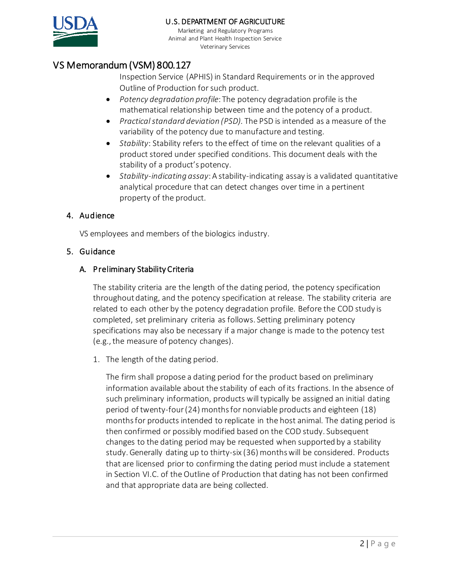

Marketing and Regulatory Programs Animal and Plant Health Inspection Service Veterinary Services

# VS Memorandum (VSM) 800.127

Inspection Service (APHIS) in Standard Requirements or in the approved Outline of Production for such product.

- *Potency degradation profile*: The potency degradation profile is the mathematical relationship between time and the potency of a product.
- *Practical standard deviation (PSD).* The PSD is intended as a measure of the variability of the potency due to manufacture and testing.
- *Stability*: Stability refers to the effect of time on the relevant qualities of a product stored under specified conditions. This document deals with the stability of a product's potency.
- *Stability-indicating assay*: A stability-indicating assay is a validated quantitative analytical procedure that can detect changes over time in a pertinent property of the product.

## 4. Audience

VS employees and members of the biologics industry.

## 5. Guidance

## A. Preliminary Stability Criteria

The stability criteria are the length of the dating period, the potency specification throughout dating, and the potency specification at release. The stability criteria are related to each other by the potency degradation profile. Before the COD study is completed, set preliminary criteria as follows. Setting preliminary potency specifications may also be necessary if a major change is made to the potency test (e.g.,the measure of potency changes).

1. The length of the dating period.

The firm shall propose a dating period for the product based on preliminary information available about the stability of each of its fractions. In the absence of such preliminary information, products will typically be assigned an initial dating period of twenty-four (24) months for nonviable products and eighteen (18) months for products intended to replicate in the host animal. The dating period is then confirmed or possibly modified based on the COD study. Subsequent changes to the dating period may be requested when supported by a stability study. Generally dating up to thirty-six (36) months will be considered. Products that are licensed prior to confirming the dating period must include a statement in Section VI.C. of the Outline of Production that dating has not been confirmed and that appropriate data are being collected.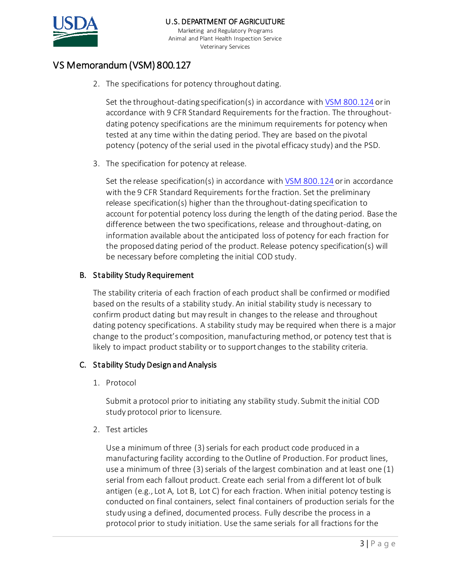

Marketing and Regulatory Programs Animal and Plant Health Inspection Service Veterinary Services

# VS Memorandum (VSM) 800.127

2. The specifications for potency throughout dating.

Set the throughout-dating specification(s) in accordance with [VSM 800.124](https://www.aphis.usda.gov/animal_health/vet_biologics/publications/memo800-124.pdf) or in accordance with 9 CFR Standard Requirements for the fraction. The throughoutdating potency specifications are the minimum requirements for potency when tested at any time within the dating period. They are based on the pivotal potency (potency of the serial used in the pivotal efficacy study) and the PSD.

3. The specification for potency at release.

Set the release specification(s) in accordance with  $VSM 800.124$  or in accordance with the 9 CFR Standard Requirements for the fraction. Set the preliminary release specification(s) higher than the throughout-dating specification to account forpotential potency loss during the length of the dating period. Base the difference between the two specifications, release and throughout-dating, on information available about the anticipated loss of potency for each fraction for the proposed dating period of the product. Release potency specification(s) will be necessary before completing the initial COD study.

## B. Stability Study Requirement

The stability criteria of each fraction of each product shall be confirmed or modified based on the results of a stability study. An initial stability study is necessary to confirm product dating but may result in changes to the release and throughout dating potency specifications. A stability study may be required when there is a major change to the product's composition, manufacturing method, or potency test that is likely to impact product stability or to support changes to the stability criteria.

## C. Stability Study Design and Analysis

1. Protocol

Submit a protocol prior to initiating any stability study. Submit the initial COD study protocol prior to licensure.

2. Test articles

Use a minimum of three (3) serials for each product code produced in a manufacturing facility according to the Outline of Production. For product lines, use a minimum of three (3) serials of the largest combination and at least one (1) serial from each fallout product. Create each serial from a different lot of bulk antigen (e.g., Lot A, Lot B, Lot C) for each fraction. When initial potency testing is conducted on final containers, select final containers of production serials for the study using a defined, documented process. Fully describe the process in a protocol prior to study initiation. Use the same serials for all fractions for the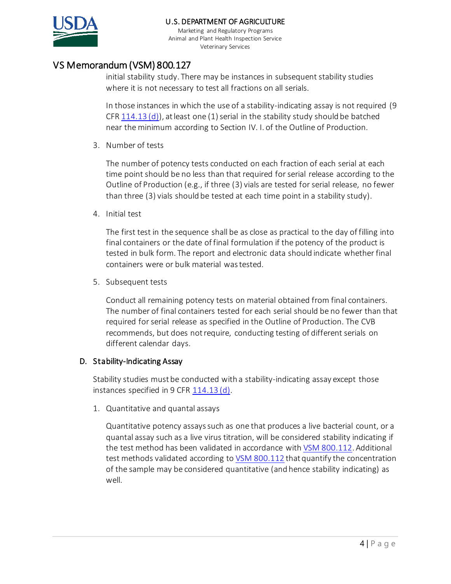

Marketing and Regulatory Programs Animal and Plant Health Inspection Service Veterinary Services

# VS Memorandum (VSM) 800.127

initial stability study. There may be instances in subsequent stability studies where it is not necessary to test all fractions on all serials.

In those instances in which the use of a stability-indicating assay is not required (9 CFR  $114.13$  (d)), at least one (1) serial in the stability study should be batched near the minimum according to Section IV. I. of the Outline of Production.

3. Number of tests

The number of potency tests conducted on each fraction of each serial at each time point should be no less than that required for serial release according to the Outline of Production (e.g., if three (3) vials are tested for serial release, no fewer than three (3) vials should be tested at each time point in a stability study).

4. Initial test

The first test in the sequence shall be as close as practical to the day of filling into final containers or the date of final formulation if the potency of the product is tested in bulk form. The report and electronic data should indicate whether final containers were or bulk material wastested.

5. Subsequent tests

Conduct all remaining potency tests on material obtained from final containers. The number of final containers tested for each serial should be no fewer than that required for serial release as specified in the Outline of Production. The CVB recommends, but does not require, conducting testing of different serials on different calendar days.

## D. Stability-Indicating Assay

Stability studies must be conducted with a stability-indicating assay except those instances specified in 9 CFR [114.13 \(d\).](https://www.ecfr.gov/cgi-bin/text-idx?SID=3df0dc0cb644ecb4c7a46d2d730390b5&mc=true&node=pt9.1.114&rgn=div5#se9.1.114_113)

1. Quantitative and quantal assays

Quantitative potency assayssuch as one that produces a live bacterial count, or a quantal assay such as a live virus titration, will be considered stability indicating if the test method has been validated in accordance wit[h VSM 800.112](https://www.aphis.usda.gov/animal_health/vet_biologics/publications/memo_800_112.pdf). Additional test methods validated according to [VSM 800.112](https://www.aphis.usda.gov/animal_health/vet_biologics/publications/memo_800_112.pdf) that quantify the concentration of the sample may be considered quantitative (and hence stability indicating) as well.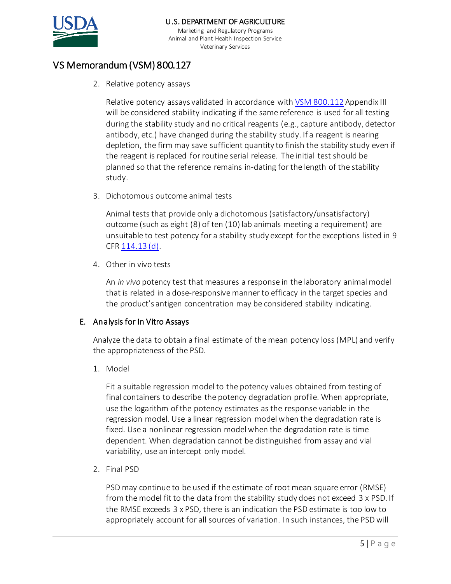

Marketing and Regulatory Programs Animal and Plant Health Inspection Service Veterinary Services

# VS Memorandum (VSM) 800.127

2. Relative potency assays

Relative potency assays validated in accordance wit[h VSM 800.112](https://www.aphis.usda.gov/animal_health/vet_biologics/publications/memo_800_112.pdf) Appendix III will be considered stability indicating if the same reference is used for all testing during the stability study and no critical reagents (e.g., capture antibody, detector antibody, etc.) have changed during the stability study. If a reagent is nearing depletion, the firm may save sufficient quantity to finish the stability study even if the reagent is replaced for routine serial release. The initial test should be planned so that the reference remains in-dating for the length of the stability study.

3. Dichotomous outcome animal tests

Animal tests that provide only a dichotomous (satisfactory/unsatisfactory) outcome (such as eight (8) of ten (10) lab animals meeting a requirement) are unsuitable to test potency for a stability study except for the exceptions listed in 9 CFR [114.13 \(d\).](https://www.ecfr.gov/cgi-bin/text-idx?SID=3df0dc0cb644ecb4c7a46d2d730390b5&mc=true&node=pt9.1.114&rgn=div5#se9.1.114_113)

4. Other in vivo tests

An *in vivo* potency test that measures a response in the laboratory animal model that is related in a dose-responsive manner to efficacy in the target species and the product's antigen concentration may be considered stability indicating.

#### E. Analysis for In Vitro Assays

Analyze the data to obtain a final estimate of the mean potency loss (MPL) and verify the appropriateness of the PSD.

1. Model

Fit a suitable regression model to the potency values obtained from testing of final containers to describe the potency degradation profile. When appropriate, use the logarithm of the potency estimates as the response variable in the regression model. Use a linear regression model when the degradation rate is fixed. Use a nonlinear regression model when the degradation rate is time dependent. When degradation cannot be distinguished from assay and vial variability, use an intercept only model.

2. Final PSD

PSD may continue to be used if the estimate of root mean square error (RMSE) from the model fit to the data from the stability study does not exceed 3 x PSD. If the RMSE exceeds 3 x PSD, there is an indication the PSD estimate is too low to appropriately account for all sources of variation. In such instances, the PSD will